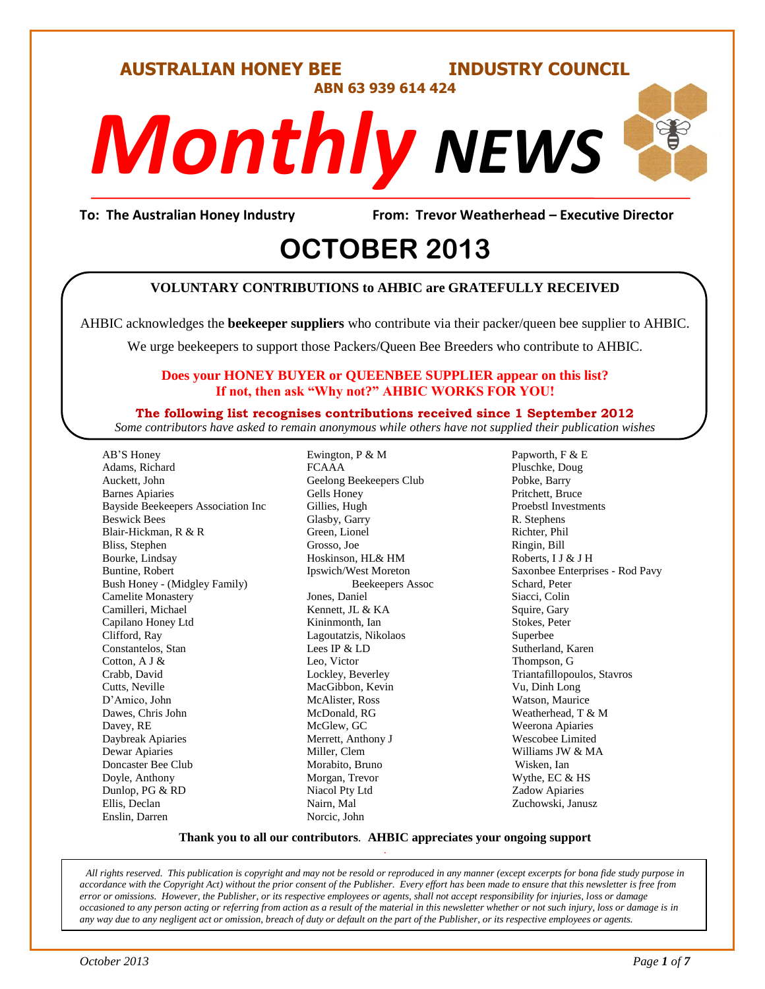**AUSTRALIAN HONEY BEE INDUSTRY COUNCIL**

# Monthly NEWS

**ABN 63 939 614 424**

**To: The Australian Honey Industry From: Trevor Weatherhead – Executive Director**

# Erom: Trevor Weatherh<br> **OCTOBER 2013**

# **VOLUNTARY CONTRIBUTIONS to AHBIC are GRATEFULLY RECEIVED**

AHBIC acknowledges the **beekeeper suppliers** who contribute via their packer/queen bee supplier to AHBIC.

We urge beekeepers to support those Packers/Queen Bee Breeders who contribute to AHBIC.

## **Does your HONEY BUYER or QUEENBEE SUPPLIER appear on this list? If not, then ask "Why not?" AHBIC WORKS FOR YOU!**

**The following list recognises contributions received since 1 September 2012**

*Some contributors have asked to remain anonymous while others have not supplied their publication wishes*

AB'S Honey Adams, Richard Auckett, John Barnes Apiaries Bayside Beekeepers Association Inc Beswick Bees Blair-Hickman, R & R Bliss, Stephen Bourke, Lindsay Buntine, Robert Bush Honey - (Midgley Family) Camelite Monastery Camilleri, Michael Capilano Honey Ltd Clifford, Ray Constantelos, Stan Cotton, A J & Crabb, David Cutts, Neville D'Amico, John Dawes, Chris John Davey, RE Daybreak Apiaries Dewar Apiaries Doncaster Bee Club Doyle, Anthony Dunlop, PG & RD Ellis, Declan Enslin, Darren

Ewington, P & M FCAAA Geelong Beekeepers Club Gells Honey Gillies, Hugh Glasby, Garry Green, Lionel Grosso, Joe Hoskinson, HL& HM Ipswich/West Moreton Beekeepers Assoc Jones, Daniel Kennett, JL & KA Kininmonth, Ian Lagoutatzis, Nikolaos Lees IP & LD Leo, Victor Lockley, Beverley MacGibbon, Kevin McAlister, Ross McDonald, RG McGlew, GC Merrett, Anthony J Miller, Clem Morabito, Bruno Morgan, Trevor Niacol Pty Ltd Nairn, Mal Norcic, John

Papworth, F & E Pluschke, Doug Pobke, Barry Pritchett, Bruce Proebstl Investments R. Stephens Richter, Phil Ringin, Bill Roberts, I J & J H Saxonbee Enterprises - Rod Pavy Schard, Peter Siacci, Colin Squire, Gary Stokes, Peter Superbee Sutherland, Karen Thompson, G Triantafillopoulos, Stavros Vu, Dinh Long Watson, Maurice Weatherhead, T & M Weerona Apiaries Wescobee Limited Williams JW & MA Wisken, Ian Wythe, EC & HS Zadow Apiaries Zuchowski, Janusz

#### **Thank you to all our contributors***.* **AHBIC appreciates your ongoing support** .

*All rights reserved. This publication is copyright and may not be resold or reproduced in any manner (except excerpts for bona fide study purpose in accordance with the Copyright Act) without the prior consent of the Publisher. Every effort has been made to ensure that this newsletter is free from error or omissions. However, the Publisher, or its respective employees or agents, shall not accept responsibility for injuries, loss or damage occasioned to any person acting or referring from action as a result of the material in this newsletter whether or not such injury, loss or damage is in any way due to any negligent act or omission, breach of duty or default on the part of the Publisher, or its respective employees or agents.*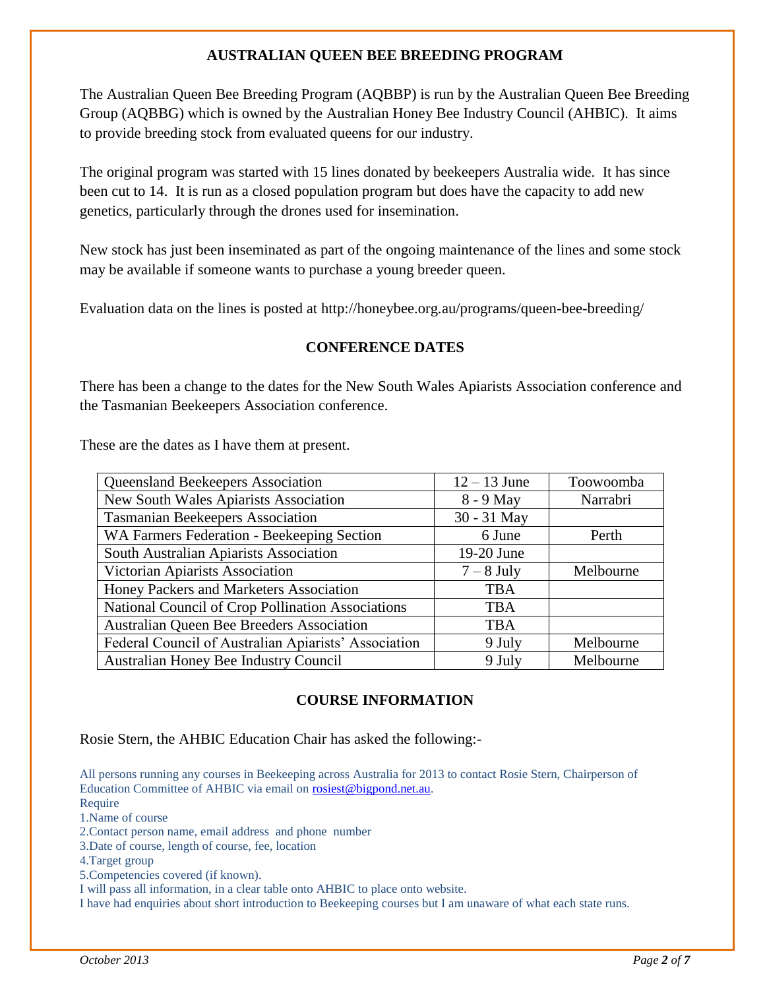# **AUSTRALIAN QUEEN BEE BREEDING PROGRAM**

The Australian Queen Bee Breeding Program (AQBBP) is run by the Australian Queen Bee Breeding Group (AQBBG) which is owned by the Australian Honey Bee Industry Council (AHBIC). It aims to provide breeding stock from evaluated queens for our industry.

The original program was started with 15 lines donated by beekeepers Australia wide. It has since been cut to 14. It is run as a closed population program but does have the capacity to add new genetics, particularly through the drones used for insemination.

New stock has just been inseminated as part of the ongoing maintenance of the lines and some stock may be available if someone wants to purchase a young breeder queen.

Evaluation data on the lines is posted at http://honeybee.org.au/programs/queen-bee-breeding/

# **CONFERENCE DATES**

There has been a change to the dates for the New South Wales Apiarists Association conference and the Tasmanian Beekeepers Association conference.

These are the dates as I have them at present.

| <b>Queensland Beekeepers Association</b>             | $12 - 13$ June | Toowoomba |
|------------------------------------------------------|----------------|-----------|
| New South Wales Apiarists Association                | 8 - 9 May      | Narrabri  |
| <b>Tasmanian Beekeepers Association</b>              | 30 - 31 May    |           |
| WA Farmers Federation - Beekeeping Section           | 6 June         | Perth     |
| South Australian Apiarists Association               | 19-20 June     |           |
| Victorian Apiarists Association                      | $7 - 8$ July   | Melbourne |
| Honey Packers and Marketers Association              | <b>TBA</b>     |           |
| National Council of Crop Pollination Associations    | <b>TBA</b>     |           |
| Australian Queen Bee Breeders Association            | <b>TBA</b>     |           |
| Federal Council of Australian Apiarists' Association | 9 July         | Melbourne |
| Australian Honey Bee Industry Council                | 9 July         | Melbourne |

# **COURSE INFORMATION**

Rosie Stern, the AHBIC Education Chair has asked the following:-

All persons running any courses in Beekeeping across Australia for 2013 to contact Rosie Stern, Chairperson of Education Committee of AHBIC via email on [rosiest@bigpond.net.au.](mailto:rosiest@bigpond.net.au)

Require

1.Name of course

2.Contact person name, email address and phone number

3.Date of course, length of course, fee, location

4.Target group

5.Competencies covered (if known).

I will pass all information, in a clear table onto AHBIC to place onto website.

I have had enquiries about short introduction to Beekeeping courses but I am unaware of what each state runs.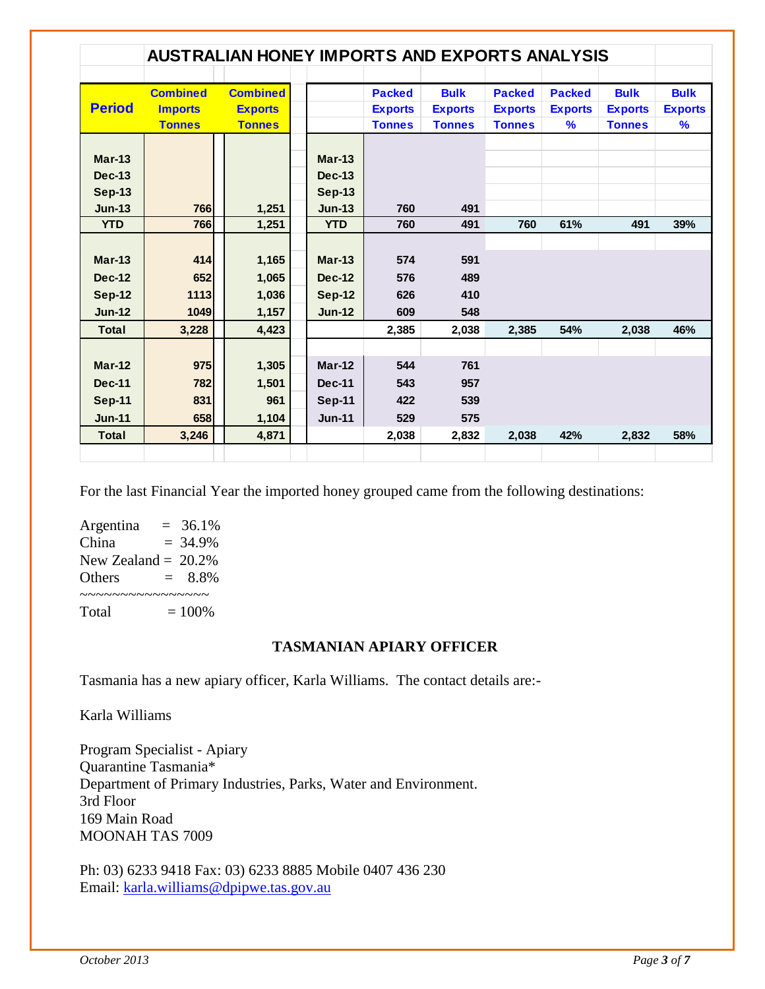|               |                                                    | <b>AUSTRALIAN HONEY IMPORTS AND EXPORTS ANALYSIS</b> |               |                                                  |                                                |                                                  |                                      |                                                |                                    |
|---------------|----------------------------------------------------|------------------------------------------------------|---------------|--------------------------------------------------|------------------------------------------------|--------------------------------------------------|--------------------------------------|------------------------------------------------|------------------------------------|
| <b>Period</b> | <b>Combined</b><br><b>Imports</b><br><b>Tonnes</b> | <b>Combined</b><br><b>Exports</b><br><b>Tonnes</b>   |               | <b>Packed</b><br><b>Exports</b><br><b>Tonnes</b> | <b>Bulk</b><br><b>Exports</b><br><b>Tonnes</b> | <b>Packed</b><br><b>Exports</b><br><b>Tonnes</b> | <b>Packed</b><br><b>Exports</b><br>% | <b>Bulk</b><br><b>Exports</b><br><b>Tonnes</b> | <b>Bulk</b><br><b>Exports</b><br>% |
| $Mar-13$      |                                                    |                                                      | $Mar-13$      |                                                  |                                                |                                                  |                                      |                                                |                                    |
| <b>Dec-13</b> |                                                    |                                                      | <b>Dec-13</b> |                                                  |                                                |                                                  |                                      |                                                |                                    |
| <b>Sep-13</b> |                                                    |                                                      | <b>Sep-13</b> |                                                  |                                                |                                                  |                                      |                                                |                                    |
| $Jun-13$      | 766                                                | 1,251                                                | $Jun-13$      | 760                                              | 491                                            |                                                  |                                      |                                                |                                    |
| <b>YTD</b>    | 766                                                | 1,251                                                | <b>YTD</b>    | 760                                              | 491                                            | 760                                              | 61%                                  | 491                                            | 39%                                |
|               |                                                    |                                                      |               |                                                  |                                                |                                                  |                                      |                                                |                                    |
| $Mar-13$      | 414                                                | 1,165                                                | $Mar-13$      | 574                                              | 591                                            |                                                  |                                      |                                                |                                    |
| <b>Dec-12</b> | 652                                                | 1,065                                                | <b>Dec-12</b> | 576                                              | 489                                            |                                                  |                                      |                                                |                                    |
| <b>Sep-12</b> | 1113                                               | 1,036                                                | <b>Sep-12</b> | 626                                              | 410                                            |                                                  |                                      |                                                |                                    |
| $Jun-12$      | 1049                                               | 1,157                                                | $Jun-12$      | 609                                              | 548                                            |                                                  |                                      |                                                |                                    |
| <b>Total</b>  | 3.228                                              | 4,423                                                |               | 2.385                                            | 2.038                                          | 2.385                                            | 54%                                  | 2.038                                          | 46%                                |
|               |                                                    |                                                      |               |                                                  |                                                |                                                  |                                      |                                                |                                    |
| $Mar-12$      | 975                                                | 1,305                                                | $Mar-12$      | 544                                              | 761                                            |                                                  |                                      |                                                |                                    |
| <b>Dec-11</b> | 782                                                | 1,501                                                | <b>Dec-11</b> | 543                                              | 957                                            |                                                  |                                      |                                                |                                    |
| <b>Sep-11</b> | 831                                                | 961                                                  | <b>Sep-11</b> | 422                                              | 539                                            |                                                  |                                      |                                                |                                    |
| <b>Jun-11</b> | 658                                                | 1,104                                                | $Jun-11$      | 529                                              | 575                                            |                                                  |                                      |                                                |                                    |
| <b>Total</b>  | 3.246                                              | 4,871                                                |               | 2,038                                            | 2,832                                          | 2,038                                            | 42%                                  | 2,832                                          | 58%                                |

For the last Financial Year the imported honey grouped came from the following destinations:

Argentina  $= 36.1\%$  $China = 34.9%$ New Zealand  $= 20.2\%$ Others  $= 8.8\%$ ~~~~~~~~~~~~~~~~  $Total = 100\%$ 

# **TASMANIAN APIARY OFFICER**

Tasmania has a new apiary officer, Karla Williams. The contact details are:-

Karla Williams

Program Specialist - Apiary Quarantine Tasmania\* Department of Primary Industries, Parks, Water and Environment. 3rd Floor 169 Main Road MOONAH TAS 7009

Ph: 03) 6233 9418 Fax: 03) 6233 8885 Mobile 0407 436 230 Email: [karla.williams@dpipwe.tas.gov.au](mailto:karla.williams@dpipwe.tas.gov.au)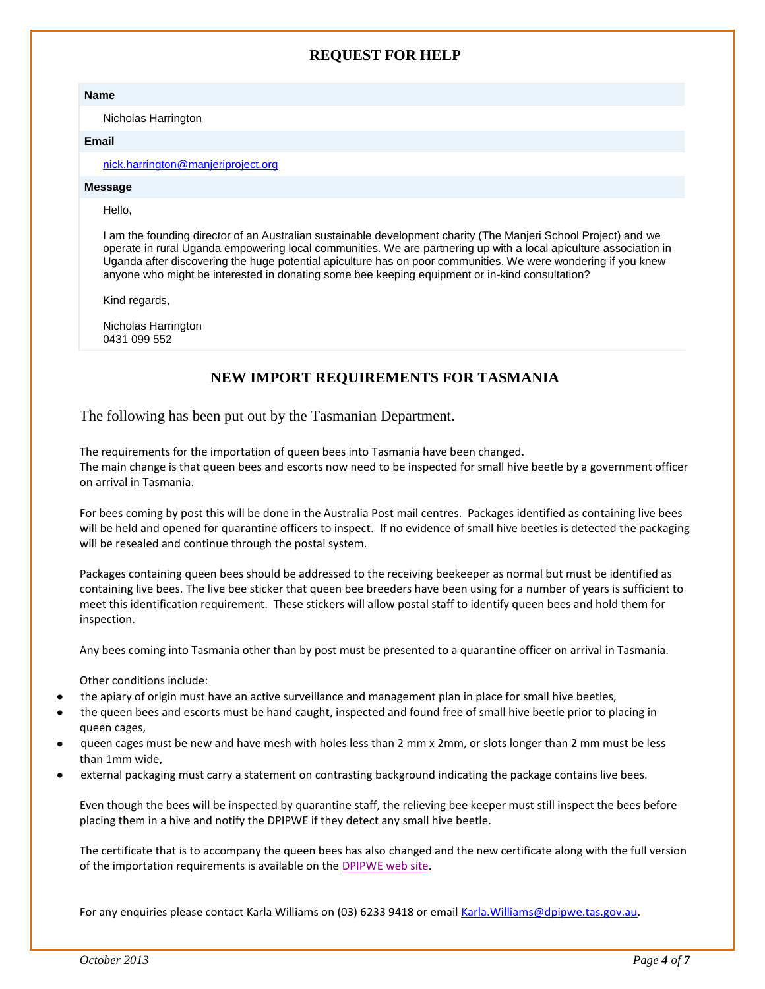# **REQUEST FOR HELP**

#### **Name**

Nicholas Harrington

#### **Email**

[nick.harrington@manjeriproject.org](mailto:nick.harrington@manjeriproject.org)

#### **Message**

Hello,

I am the founding director of an Australian sustainable development charity (The Manjeri School Project) and we operate in rural Uganda empowering local communities. We are partnering up with a local apiculture association in Uganda after discovering the huge potential apiculture has on poor communities. We were wondering if you knew anyone who might be interested in donating some bee keeping equipment or in-kind consultation?

Kind regards,

Nicholas Harrington 0431 099 552

# **NEW IMPORT REQUIREMENTS FOR TASMANIA**

The following has been put out by the Tasmanian Department.

The requirements for the importation of queen bees into Tasmania have been changed. The main change is that queen bees and escorts now need to be inspected for small hive beetle by a government officer on arrival in Tasmania.

For bees coming by post this will be done in the Australia Post mail centres. Packages identified as containing live bees will be held and opened for quarantine officers to inspect. If no evidence of small hive beetles is detected the packaging will be resealed and continue through the postal system.

Packages containing queen bees should be addressed to the receiving beekeeper as normal but must be identified as containing live bees. The live bee sticker that queen bee breeders have been using for a number of years is sufficient to meet this identification requirement. These stickers will allow postal staff to identify queen bees and hold them for inspection.

Any bees coming into Tasmania other than by post must be presented to a quarantine officer on arrival in Tasmania.

Other conditions include:

- the apiary of origin must have an active surveillance and management plan in place for small hive beetles,
- the queen bees and escorts must be hand caught, inspected and found free of small hive beetle prior to placing in queen cages,
- queen cages must be new and have mesh with holes less than 2 mm x 2mm, or slots longer than 2 mm must be less than 1mm wide,
- external packaging must carry a statement on contrasting background indicating the package contains live bees.

Even though the bees will be inspected by quarantine staff, the relieving bee keeper must still inspect the bees before placing them in a hive and notify the DPIPWE if they detect any small hive beetle.

The certificate that is to accompany the queen bees has also changed and the new certificate along with the full version of the importation requirements is available on the [DPIPWE web site.](http://www.dpiw.tas.gov.au/inter.nsf/WebPages/MCAS-7Y58NJ?open)

For any enquiries please contact Karla Williams on (03) 6233 9418 or email Karla. Williams@dpipwe.tas.gov.au.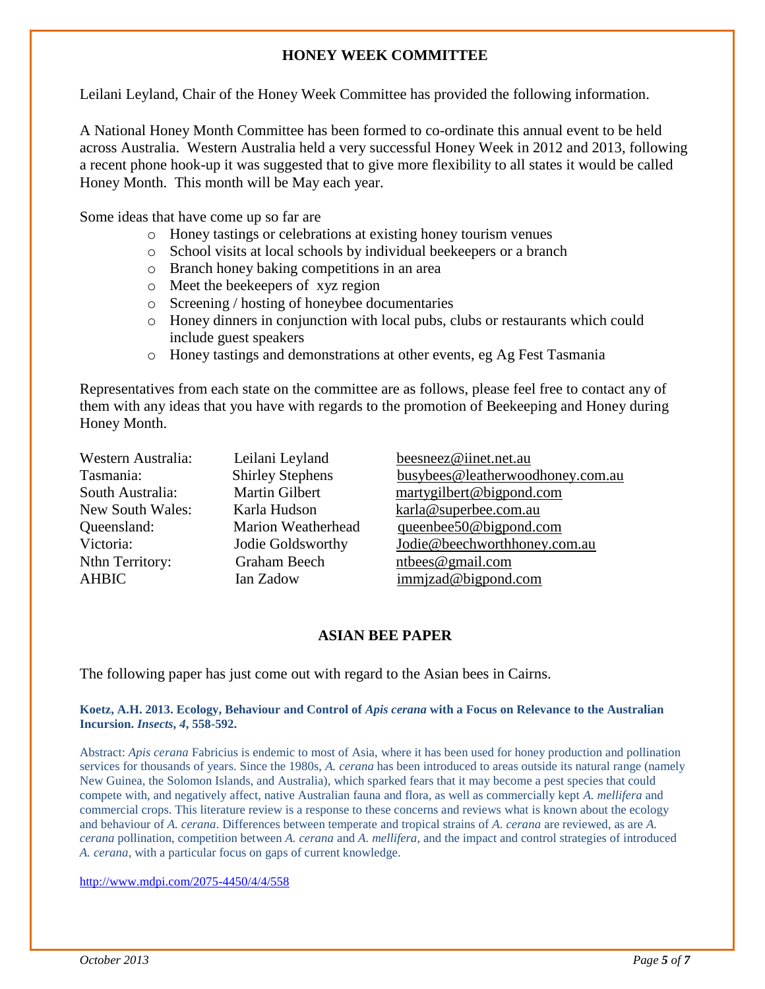# **HONEY WEEK COMMITTEE**

Leilani Leyland, Chair of the Honey Week Committee has provided the following information.

A National Honey Month Committee has been formed to co-ordinate this annual event to be held across Australia. Western Australia held a very successful Honey Week in 2012 and 2013, following a recent phone hook-up it was suggested that to give more flexibility to all states it would be called Honey Month. This month will be May each year.

Some ideas that have come up so far are

- o Honey tastings or celebrations at existing honey tourism venues
- o School visits at local schools by individual beekeepers or a branch
- o Branch honey baking competitions in an area
- o Meet the beekeepers of xyz region
- o Screening / hosting of honeybee documentaries
- o Honey dinners in conjunction with local pubs, clubs or restaurants which could include guest speakers
- o Honey tastings and demonstrations at other events, eg Ag Fest Tasmania

Representatives from each state on the committee are as follows, please feel free to contact any of them with any ideas that you have with regards to the promotion of Beekeeping and Honey during Honey Month.

| Western Australia: | Leilani Leyland         | beesneez@iinet.net.au            |
|--------------------|-------------------------|----------------------------------|
| Tasmania:          | <b>Shirley Stephens</b> | busybees@leatherwoodhoney.com.au |
| South Australia:   | Martin Gilbert          | martygilbert@bigpond.com         |
| New South Wales:   | Karla Hudson            | karla@superbee.com.au            |
| Queensland:        | Marion Weatherhead      | queenbee50@bigpond.com           |
| Victoria:          | Jodie Goldsworthy       | Jodie@beechworthhoney.com.au     |
| Nthn Territory:    | Graham Beech            | ntbees@gmail.com                 |
| <b>AHBIC</b>       | Ian Zadow               | immizad@bigpond.com              |

# **ASIAN BEE PAPER**

The following paper has just come out with regard to the Asian bees in Cairns.

### **Koetz, A.H. 2013. Ecology, Behaviour and Control of** *Apis cerana* **with a Focus on Relevance to the Australian Incursion.** *Insects***,** *4***, 558-592.**

Abstract: *Apis cerana* Fabricius is endemic to most of Asia, where it has been used for honey production and pollination services for thousands of years. Since the 1980s, *A. cerana* has been introduced to areas outside its natural range (namely New Guinea, the Solomon Islands, and Australia), which sparked fears that it may become a pest species that could compete with, and negatively affect, native Australian fauna and flora, as well as commercially kept *A. mellifera* and commercial crops. This literature review is a response to these concerns and reviews what is known about the ecology and behaviour of *A. cerana*. Differences between temperate and tropical strains of *A. cerana* are reviewed, as are *A. cerana* pollination, competition between *A. cerana* and *A. mellifera*, and the impact and control strategies of introduced *A. cerana*, with a particular focus on gaps of current knowledge.

<http://www.mdpi.com/2075-4450/4/4/558>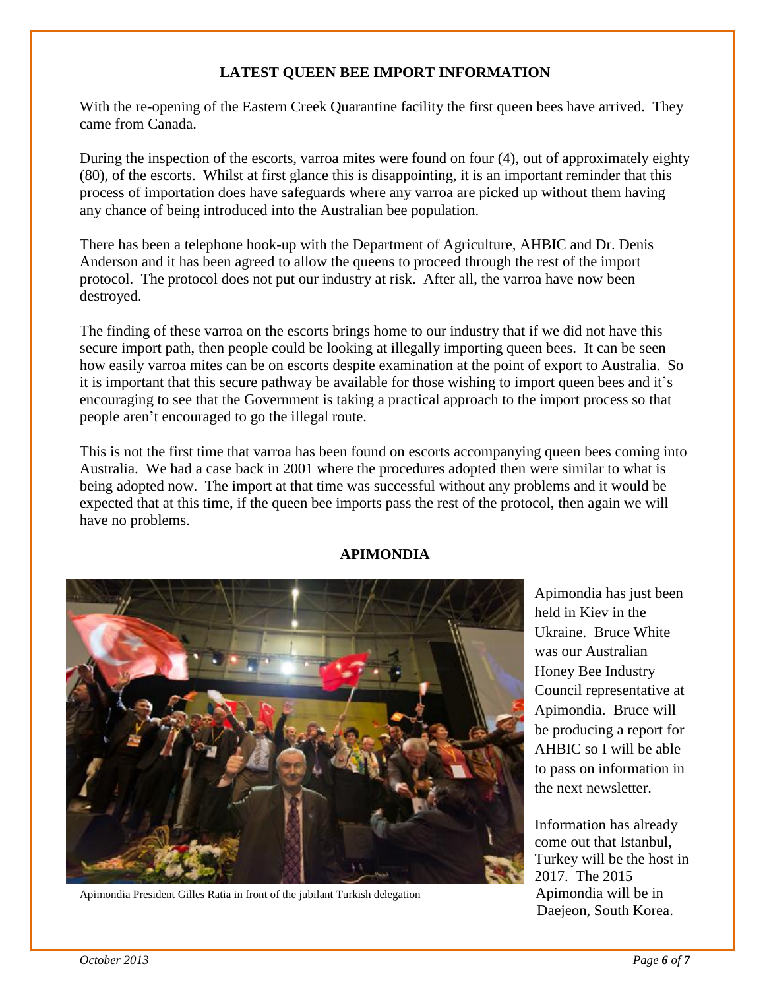# **LATEST QUEEN BEE IMPORT INFORMATION**

With the re-opening of the Eastern Creek Quarantine facility the first queen bees have arrived. They came from Canada.

During the inspection of the escorts, varroa mites were found on four (4), out of approximately eighty (80), of the escorts. Whilst at first glance this is disappointing, it is an important reminder that this process of importation does have safeguards where any varroa are picked up without them having any chance of being introduced into the Australian bee population.

There has been a telephone hook-up with the Department of Agriculture, AHBIC and Dr. Denis Anderson and it has been agreed to allow the queens to proceed through the rest of the import protocol. The protocol does not put our industry at risk. After all, the varroa have now been destroyed.

The finding of these varroa on the escorts brings home to our industry that if we did not have this secure import path, then people could be looking at illegally importing queen bees. It can be seen how easily varroa mites can be on escorts despite examination at the point of export to Australia. So it is important that this secure pathway be available for those wishing to import queen bees and it's encouraging to see that the Government is taking a practical approach to the import process so that people aren't encouraged to go the illegal route.

This is not the first time that varroa has been found on escorts accompanying queen bees coming into Australia. We had a case back in 2001 where the procedures adopted then were similar to what is being adopted now. The import at that time was successful without any problems and it would be expected that at this time, if the queen bee imports pass the rest of the protocol, then again we will have no problems.



# **APIMONDIA**

Apimondia President Gilles Ratia in front of the jubilant Turkish delegation Apimondia will be in

Apimondia has just been held in Kiev in the Ukraine. Bruce White was our Australian Honey Bee Industry Council representative at Apimondia. Bruce will be producing a report for AHBIC so I will be able to pass on information in the next newsletter.

Information has already come out that Istanbul, Turkey will be the host in 2017.The 2015 Daejeon, South Korea.